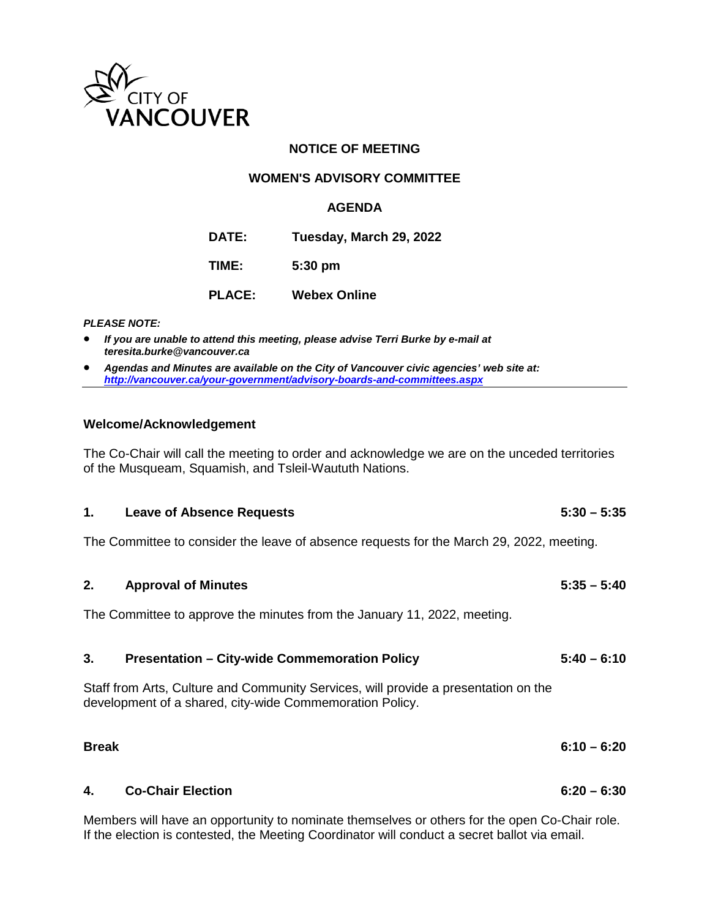

## **NOTICE OF MEETING**

## **WOMEN'S ADVISORY COMMITTEE**

#### **AGENDA**

**DATE: Tuesday, March 29, 2022**

**TIME: 5:30 pm**

**PLACE: Webex Online**

*PLEASE NOTE:*

- *If you are unable to attend this meeting, please advise Terri Burke by e-mail at teresita.burke@vancouver.ca*
- *Agendas and Minutes are available on the City of Vancouver civic agencies' web site at: <http://vancouver.ca/your-government/advisory-boards-and-committees.aspx>*

#### **Welcome/Acknowledgement**

The Co-Chair will call the meeting to order and acknowledge we are on the unceded territories of the Musqueam, Squamish, and Tsleil-Waututh Nations.

# **1. Leave of Absence Requests 5:30 – 5:35**

The Committee to consider the leave of absence requests for the March 29, 2022, meeting.

**2. Approval of Minutes 5:35 – 5:40** The Committee to approve the minutes from the January 11, 2022, meeting.

| 3. | <b>Presentation - City-wide Commemoration Policy</b>                                | $5:40 - 6:10$ |
|----|-------------------------------------------------------------------------------------|---------------|
|    | Staff from Arts, Culture and Community Services, will provide a presentation on the |               |
|    | development of a shared, city-wide Commemoration Policy.                            |               |

| <b>Break</b> |                                                                                                                                                   | $6:10 - 6:20$ |
|--------------|---------------------------------------------------------------------------------------------------------------------------------------------------|---------------|
|              | 4. Co-Chair Election                                                                                                                              | $6:20 - 6:30$ |
|              | Models are will be assessed and collected as a contract of the constitution of the first than $\bigcap_{n=1}^{\infty}$ . $\bigcap_{n=1}^{\infty}$ |               |

Members will have an opportunity to nominate themselves or others for the open Co-Chair role. If the election is contested, the Meeting Coordinator will conduct a secret ballot via email.